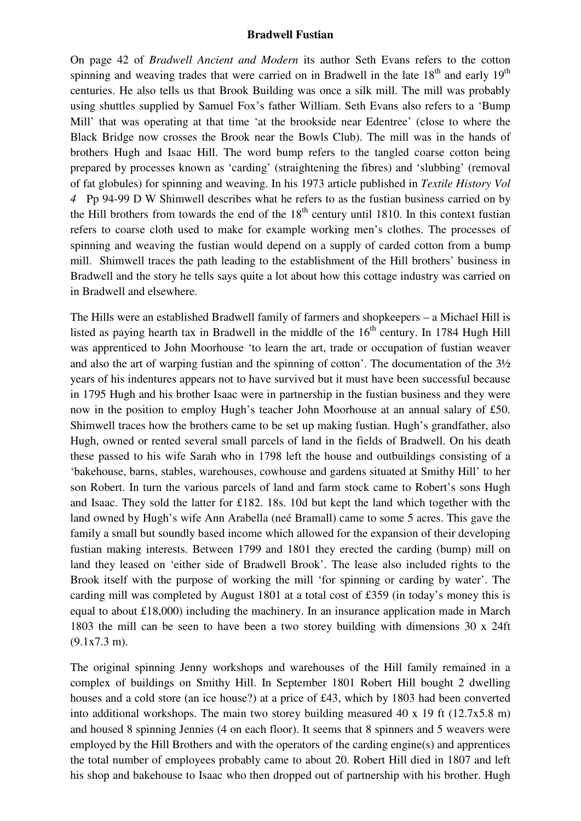## **Bradwell Fustian**

On page 42 of *Bradwell Ancient and Modern* its author Seth Evans refers to the cotton spinning and weaving trades that were carried on in Bradwell in the late  $18<sup>th</sup>$  and early  $19<sup>th</sup>$ centuries. He also tells us that Brook Building was once a silk mill. The mill was probably using shuttles supplied by Samuel Fox's father William. Seth Evans also refers to a 'Bump Mill' that was operating at that time 'at the brookside near Edentree' (close to where the Black Bridge now crosses the Brook near the Bowls Club). The mill was in the hands of brothers Hugh and Isaac Hill. The word bump refers to the tangled coarse cotton being prepared by processes known as 'carding' (straightening the fibres) and 'slubbing' (removal of fat globules) for spinning and weaving. In his 1973 article published in *Textile History Vol 4* Pp 94-99 D W Shimwell describes what he refers to as the fustian business carried on by the Hill brothers from towards the end of the  $18<sup>th</sup>$  century until 1810. In this context fustian refers to coarse cloth used to make for example working men's clothes. The processes of spinning and weaving the fustian would depend on a supply of carded cotton from a bump mill. Shimwell traces the path leading to the establishment of the Hill brothers' business in Bradwell and the story he tells says quite a lot about how this cottage industry was carried on in Bradwell and elsewhere.

The Hills were an established Bradwell family of farmers and shopkeepers – a Michael Hill is listed as paying hearth tax in Bradwell in the middle of the  $16<sup>th</sup>$  century. In 1784 Hugh Hill was apprenticed to John Moorhouse 'to learn the art, trade or occupation of fustian weaver and also the art of warping fustian and the spinning of cotton'. The documentation of the 3½ years of his indentures appears not to have survived but it must have been successful because in 1795 Hugh and his brother Isaac were in partnership in the fustian business and they were now in the position to employ Hugh's teacher John Moorhouse at an annual salary of £50. Shimwell traces how the brothers came to be set up making fustian. Hugh's grandfather, also Hugh, owned or rented several small parcels of land in the fields of Bradwell. On his death these passed to his wife Sarah who in 1798 left the house and outbuildings consisting of a 'bakehouse, barns, stables, warehouses, cowhouse and gardens situated at Smithy Hill' to her son Robert. In turn the various parcels of land and farm stock came to Robert's sons Hugh and Isaac. They sold the latter for £182. 18s. 10d but kept the land which together with the land owned by Hugh's wife Ann Arabella (neé Bramall) came to some 5 acres. This gave the family a small but soundly based income which allowed for the expansion of their developing fustian making interests. Between 1799 and 1801 they erected the carding (bump) mill on land they leased on 'either side of Bradwell Brook'. The lease also included rights to the Brook itself with the purpose of working the mill 'for spinning or carding by water'. The carding mill was completed by August 1801 at a total cost of £359 (in today's money this is equal to about £18,000) including the machinery. In an insurance application made in March 1803 the mill can be seen to have been a two storey building with dimensions 30 x 24ft (9.1x7.3 m).

The original spinning Jenny workshops and warehouses of the Hill family remained in a complex of buildings on Smithy Hill. In September 1801 Robert Hill bought 2 dwelling houses and a cold store (an ice house?) at a price of £43, which by 1803 had been converted into additional workshops. The main two storey building measured 40 x 19 ft (12.7x5.8 m) and housed 8 spinning Jennies (4 on each floor). It seems that 8 spinners and 5 weavers were employed by the Hill Brothers and with the operators of the carding engine(s) and apprentices the total number of employees probably came to about 20. Robert Hill died in 1807 and left his shop and bakehouse to Isaac who then dropped out of partnership with his brother. Hugh